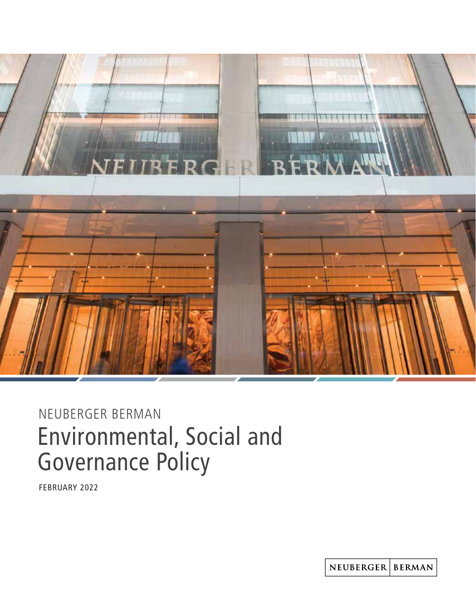

# Environmental, Social and Governance Policy NEUBERGER BERMAN

FEBRUARY 2022

NEUBERGER BERMAN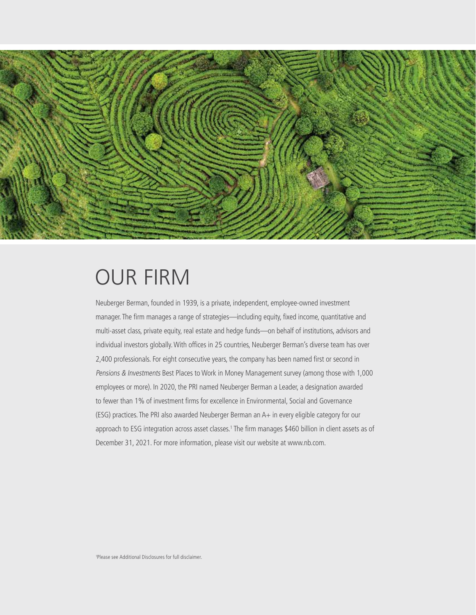

# OUR FIRM

Neuberger Berman, founded in 1939, is a private, independent, employee-owned investment manager. The firm manages a range of strategies—including equity, fixed income, quantitative and multi-asset class, private equity, real estate and hedge funds—on behalf of institutions, advisors and individual investors globally. With offices in 25 countries, Neuberger Berman's diverse team has over 2,400 professionals. For eight consecutive years, the company has been named first or second in Pensions & Investments Best Places to Work in Money Management survey (among those with 1,000 employees or more). In 2020, the PRI named Neuberger Berman a Leader, a designation awarded to fewer than 1% of investment firms for excellence in Environmental, Social and Governance (ESG) practices. The PRI also awarded Neuberger Berman an A+ in every eligible category for our approach to ESG integration across asset classes.<sup>1</sup> The firm manages \$460 billion in client assets as of December 31, 2021. For more information, please visit our website at www.nb.com.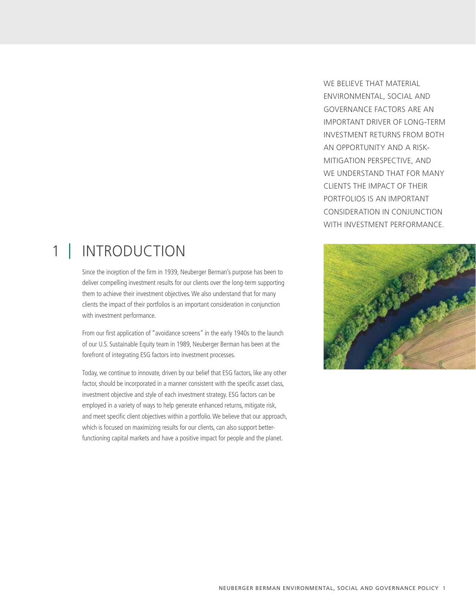#### INTRODUCTION 1 |

Since the inception of the firm in 1939, Neuberger Berman's purpose has been to deliver compelling investment results for our clients over the long-term supporting them to achieve their investment objectives. We also understand that for many clients the impact of their portfolios is an important consideration in conjunction with investment performance.

From our first application of "avoidance screens" in the early 1940s to the launch of our U.S. Sustainable Equity team in 1989, Neuberger Berman has been at the forefront of integrating ESG factors into investment processes.

Today, we continue to innovate, driven by our belief that ESG factors, like any other factor, should be incorporated in a manner consistent with the specific asset class, investment objective and style of each investment strategy. ESG factors can be employed in a variety of ways to help generate enhanced returns, mitigate risk, and meet specific client objectives within a portfolio. We believe that our approach, which is focused on maximizing results for our clients, can also support betterfunctioning capital markets and have a positive impact for people and the planet.

WE BELIEVE THAT MATERIAL ENVIRONMENTAL, SOCIAL AND GOVERNANCE FACTORS ARE AN IMPORTANT DRIVER OF LONG-TERM INVESTMENT RETURNS FROM BOTH AN OPPORTUNITY AND A RISK-MITIGATION PERSPECTIVE, AND WE UNDERSTAND THAT FOR MANY CLIENTS THE IMPACT OF THEIR PORTFOLIOS IS AN IMPORTANT CONSIDERATION IN CONJUNCTION WITH INVESTMENT PERFORMANCE.

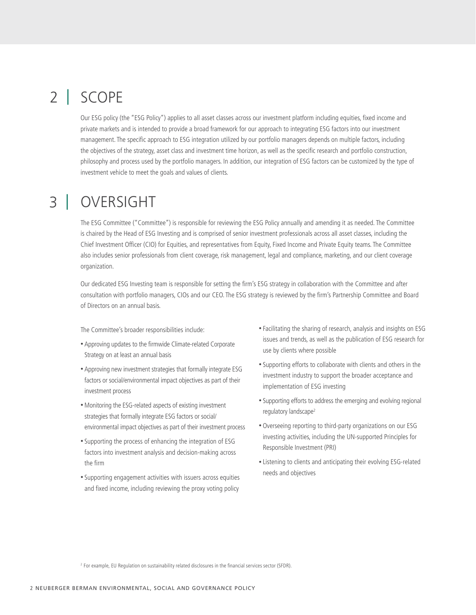## 2 | SCOPE

Our ESG policy (the "ESG Policy") applies to all asset classes across our investment platform including equities, fixed income and private markets and is intended to provide a broad framework for our approach to integrating ESG factors into our investment management. The specific approach to ESG integration utilized by our portfolio managers depends on multiple factors, including the objectives of the strategy, asset class and investment time horizon, as well as the specific research and portfolio construction, philosophy and process used by the portfolio managers. In addition, our integration of ESG factors can be customized by the type of investment vehicle to meet the goals and values of clients.

#### 3 | OVERSIGHT

The ESG Committee ("Committee") is responsible for reviewing the ESG Policy annually and amending it as needed. The Committee is chaired by the Head of ESG Investing and is comprised of senior investment professionals across all asset classes, including the Chief Investment Officer (CIO) for Equities, and representatives from Equity, Fixed Income and Private Equity teams. The Committee also includes senior professionals from client coverage, risk management, legal and compliance, marketing, and our client coverage organization.

Our dedicated ESG Investing team is responsible for setting the firm's ESG strategy in collaboration with the Committee and after consultation with portfolio managers, CIOs and our CEO. The ESG strategy is reviewed by the firm's Partnership Committee and Board of Directors on an annual basis.

The Committee's broader responsibilities include:

- Approving updates to the firmwide Climate-related Corporate Strategy on at least an annual basis
- Approving new investment strategies that formally integrate ESG factors or social/environmental impact objectives as part of their investment process
- Monitoring the ESG-related aspects of existing investment strategies that formally integrate ESG factors or social/ environmental impact objectives as part of their investment process
- Supporting the process of enhancing the integration of ESG factors into investment analysis and decision-making across the firm
- Supporting engagement activities with issuers across equities and fixed income, including reviewing the proxy voting policy
- Facilitating the sharing of research, analysis and insights on ESG issues and trends, as well as the publication of ESG research for use by clients where possible
- Supporting efforts to collaborate with clients and others in the investment industry to support the broader acceptance and implementation of ESG investing
- Supporting efforts to address the emerging and evolving regional regulatory landscape<sup>2</sup>
- Overseeing reporting to third-party organizations on our ESG investing activities, including the UN-supported Principles for Responsible Investment (PRI)
- Listening to clients and anticipating their evolving ESG-related needs and objectives

<sup>2</sup> For example, EU Regulation on sustainability related disclosures in the financial services sector (SFDR).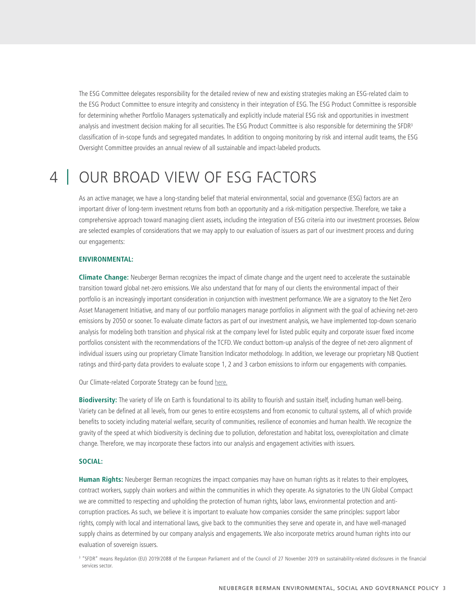The ESG Committee delegates responsibility for the detailed review of new and existing strategies making an ESG-related claim to the ESG Product Committee to ensure integrity and consistency in their integration of ESG. The ESG Product Committee is responsible for determining whether Portfolio Managers systematically and explicitly include material ESG risk and opportunities in investment analysis and investment decision making for all securities. The ESG Product Committee is also responsible for determining the SFDR<sup>3</sup> classification of in-scope funds and segregated mandates. In addition to ongoing monitoring by risk and internal audit teams, the ESG Oversight Committee provides an annual review of all sustainable and impact-labeled products.

#### OUR BROAD VIEW OF ESG FACTORS 4 |

As an active manager, we have a long-standing belief that material environmental, social and governance (ESG) factors are an important driver of long-term investment returns from both an opportunity and a risk-mitigation perspective. Therefore, we take a comprehensive approach toward managing client assets, including the integration of ESG criteria into our investment processes. Below are selected examples of considerations that we may apply to our evaluation of issuers as part of our investment process and during our engagements:

#### **ENVIRONMENTAL:**

**Climate Change:** Neuberger Berman recognizes the impact of climate change and the urgent need to accelerate the sustainable transition toward global net-zero emissions. We also understand that for many of our clients the environmental impact of their portfolio is an increasingly important consideration in conjunction with investment performance. We are a signatory to the Net Zero Asset Management Initiative, and many of our portfolio managers manage portfolios in alignment with the goal of achieving net-zero emissions by 2050 or sooner. To evaluate climate factors as part of our investment analysis, we have implemented top-down scenario analysis for modeling both transition and physical risk at the company level for listed public equity and corporate issuer fixed income portfolios consistent with the recommendations of the TCFD. We conduct bottom-up analysis of the degree of net-zero alignment of individual issuers using our proprietary Climate Transition Indicator methodology. In addition, we leverage our proprietary NB Quotient ratings and third-party data providers to evaluate scope 1, 2 and 3 carbon emissions to inform our engagements with companies.

Our Climate-related Corporate Strategy can be found [here.](https://www.nb.com/handlers/documents.ashx?id=1d48d43e-956e-4cf9-83d7-c4a443c29827&name=T0267_NB_climate_related_corporate_strategy)

**Biodiversity:** The variety of life on Earth is foundational to its ability to flourish and sustain itself, including human well-being. Variety can be defined at all levels, from our genes to entire ecosystems and from economic to cultural systems, all of which provide benefits to society including material welfare, security of communities, resilience of economies and human health. We recognize the gravity of the speed at which biodiversity is declining due to pollution, deforestation and habitat loss, overexploitation and climate change. Therefore, we may incorporate these factors into our analysis and engagement activities with issuers.

#### **SOCIAL:**

**Human Rights:** Neuberger Berman recognizes the impact companies may have on human rights as it relates to their employees, contract workers, supply chain workers and within the communities in which they operate. As signatories to the UN Global Compact we are committed to respecting and upholding the protection of human rights, labor laws, environmental protection and anticorruption practices. As such, we believe it is important to evaluate how companies consider the same principles: support labor rights, comply with local and international laws, give back to the communities they serve and operate in, and have well-managed supply chains as determined by our company analysis and engagements. We also incorporate metrics around human rights into our evaluation of sovereign issuers.

3 "SFDR" means Regulation (EU) 2019/2088 of the European Parliament and of the Council of 27 November 2019 on sustainability-related disclosures in the financial services sector.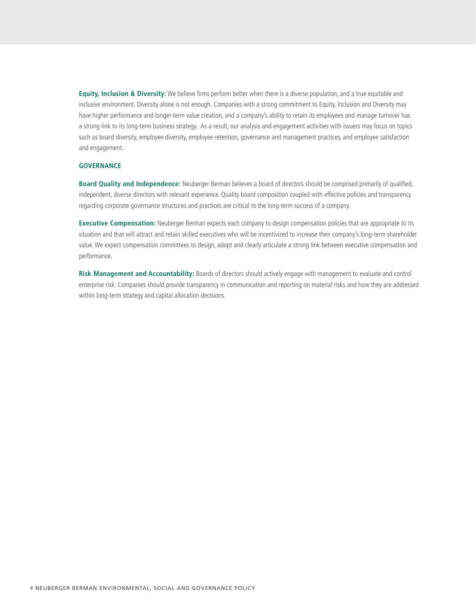**Equity, Inclusion & Diversity:** We believe firms perform better when there is a diverse population, and a true equitable and inclusive environment. Diversity alone is not enough. Companies with a strong commitment to Equity, Inclusion and Diversity may have higher performance and longer-term value creation, and a company's ability to retain its employees and manage turnover has a strong link to its long-term business strategy. As a result, our analysis and engagement activities with issuers may focus on topics such as board diversity, employee diversity, employee retention, governance and management practices, and employee satisfaction and engagement.

#### **GOVERNANCE**

**Board Quality and Independence:** Neuberger Berman believes a board of directors should be comprised primarily of qualified, independent, diverse directors with relevant experience. Quality board composition coupled with effective policies and transparency regarding corporate governance structures and practices are critical to the long-term success of a company.

**Executive Compensation:** Neuberger Berman expects each company to design compensation policies that are appropriate to its situation and that will attract and retain skilled executives who will be incentivized to increase their company's long-term shareholder value. We expect compensation committees to design, adopt and clearly articulate a strong link between executive compensation and performance.

**Risk Management and Accountability:** Boards of directors should actively engage with management to evaluate and control enterprise risk. Companies should provide transparency in communication and reporting on material risks and how they are addressed within long-term strategy and capital allocation decisions.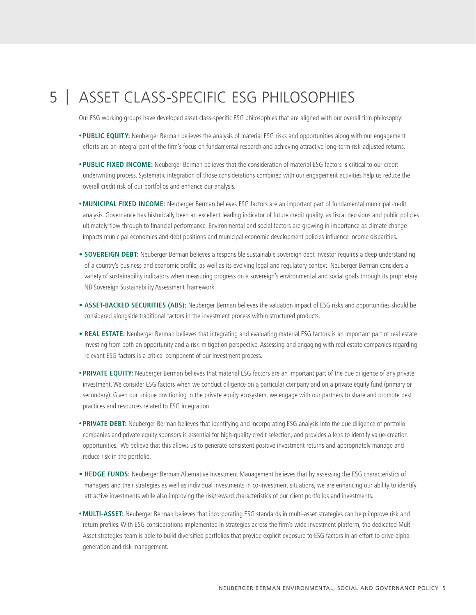## ASSET CLASS-SPECIFIC ESG PHILOSOPHIES 5 |

Our ESG working groups have developed asset class-specific ESG philosophies that are aligned with our overall firm philosophy:

- **PUBLIC EQUITY:** Neuberger Berman believes the analysis of material ESG risks and opportunities along with our engagement efforts are an integral part of the firm's focus on fundamental research and achieving attractive long-term risk-adjusted returns.
- **PUBLIC FIXED INCOME:** Neuberger Berman believes that the consideration of material ESG factors is critical to our credit underwriting process. Systematic integration of those considerations combined with our engagement activities help us reduce the overall credit risk of our portfolios and enhance our analysis.
- **MUNICIPAL FIXED INCOME:** Neuberger Berman believes ESG factors are an important part of fundamental municipal credit analysis. Governance has historically been an excellent leading indicator of future credit quality, as fiscal decisions and public policies ultimately flow through to financial performance. Environmental and social factors are growing in importance as climate change impacts municipal economies and debt positions and municipal economic development policies influence income disparities.
- **SOVEREIGN DEBT:** Neuberger Berman believes a responsible sustainable sovereign debt investor requires a deep understanding of a country's business and economic profile, as well as its evolving legal and regulatory context. Neuberger Berman considers a variety of sustainability indicators when measuring progress on a sovereign's environmental and social goals through its proprietary NB Sovereign Sustainability Assessment Framework.
- **ASSET-BACKED SECURITIES (ABS):** Neuberger Berman believes the valuation impact of ESG risks and opportunities should be considered alongside traditional factors in the investment process within structured products.
- **REAL ESTATE:** Neuberger Berman believes that integrating and evaluating material ESG factors is an important part of real estate investing from both an opportunity and a risk-mitigation perspective. Assessing and engaging with real estate companies regarding relevant ESG factors is a critical component of our investment process.
- **PRIVATE EQUITY:** Neuberger Berman believes that material ESG factors are an important part of the due diligence of any private investment. We consider ESG factors when we conduct diligence on a particular company and on a private equity fund (primary or secondary). Given our unique positioning in the private equity ecosystem, we engage with our partners to share and promote best practices and resources related to ESG integration.
- **PRIVATE DEBT:** Neuberger Berman believes that identifying and incorporating ESG analysis into the due diligence of portfolio companies and private equity sponsors is essential for high-quality credit selection, and provides a lens to identify value-creation opportunities. We believe that this allows us to generate consistent positive investment returns and appropriately manage and reduce risk in the portfolio.
- **HEDGE FUNDS:** Neuberger Berman Alternative Investment Management believes that by assessing the ESG characteristics of managers and their strategies as well as individual investments in co-investment situations, we are enhancing our ability to identify attractive investments while also improving the risk/reward characteristics of our client portfolios and investments.
- **MULTI-ASSET:** Neuberger Berman believes that incorporating ESG standards in multi-asset strategies can help improve risk and return profiles. With ESG considerations implemented in strategies across the firm's wide investment platform, the dedicated Multi-Asset strategies team is able to build diversified portfolios that provide explicit exposure to ESG factors in an effort to drive alpha generation and risk management.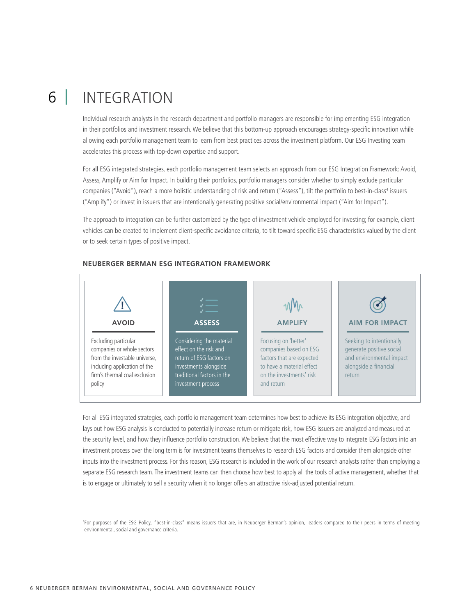## 6 | INTEGRATION

Individual research analysts in the research department and portfolio managers are responsible for implementing ESG integration in their portfolios and investment research. We believe that this bottom-up approach encourages strategy-specific innovation while allowing each portfolio management team to learn from best practices across the investment platform. Our ESG Investing team accelerates this process with top-down expertise and support.

For all ESG integrated strategies, each portfolio management team selects an approach from our ESG Integration Framework: Avoid, Assess, Amplify or Aim for Impact. In building their portfolios, portfolio managers consider whether to simply exclude particular companies ("Avoid"), reach a more holistic understanding of risk and return ("Assess"), tilt the portfolio to best-in-class<sup>4</sup> issuers ("Amplify") or invest in issuers that are intentionally generating positive social/environmental impact ("Aim for Impact").

The approach to integration can be further customized by the type of investment vehicle employed for investing; for example, client vehicles can be created to implement client-specific avoidance criteria, to tilt toward specific ESG characteristics valued by the client or to seek certain types of positive impact.



#### **NEUBERGER BERMAN ESG INTEGRATION FRAMEWORK**

For all ESG integrated strategies, each portfolio management team determines how best to achieve its ESG integration objective, and lays out how ESG analysis is conducted to potentially increase return or mitigate risk, how ESG issuers are analyzed and measured at the security level, and how they influence portfolio construction. We believe that the most effective way to integrate ESG factors into an investment process over the long term is for investment teams themselves to research ESG factors and consider them alongside other inputs into the investment process. For this reason, ESG research is included in the work of our research analysts rather than employing a separate ESG research team. The investment teams can then choose how best to apply all the tools of active management, whether that is to engage or ultimately to sell a security when it no longer offers an attractive risk-adjusted potential return.

4 For purposes of the ESG Policy, "best-in-class" means issuers that are, in Neuberger Berman's opinion, leaders compared to their peers in terms of meeting environmental, social and governance criteria.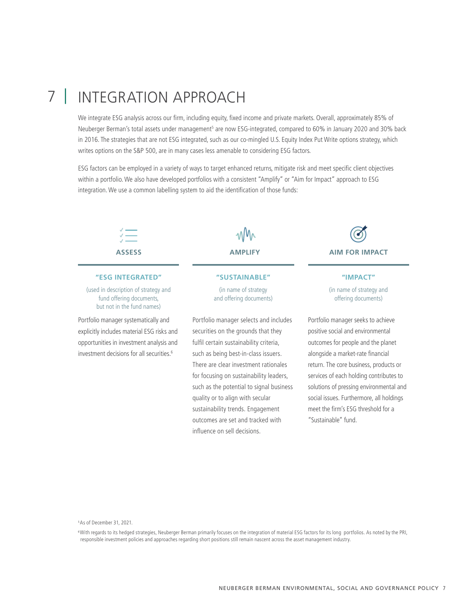## 7 | INTEGRATION APPROACH

We integrate ESG analysis across our firm, including equity, fixed income and private markets. Overall, approximately 85% of Neuberger Berman's total assets under management<sup>5</sup> are now ESG-integrated, compared to 60% in January 2020 and 30% back in 2016. The strategies that are not ESG integrated, such as our co-mingled U.S. Equity Index Put Write options strategy, which writes options on the S&P 500, are in many cases less amenable to considering ESG factors.

ESG factors can be employed in a variety of ways to target enhanced returns, mitigate risk and meet specific client objectives within a portfolio. We also have developed portfolios with a consistent "Amplify" or "Aim for Impact" approach to ESG integration. We use a common labelling system to aid the identification of those funds:



#### **"ESG INTEGRATED"**

(used in description of strategy and fund offering documents, but not in the fund names)

Portfolio manager systematically and explicitly includes material ESG risks and opportunities in investment analysis and investment decisions for all securities.<sup>6</sup>

#### **"SUSTAINABLE"**

(in name of strategy and offering documents)

Portfolio manager selects and includes securities on the grounds that they fulfil certain sustainability criteria, such as being best-in-class issuers. There are clear investment rationales for focusing on sustainability leaders, such as the potential to signal business quality or to align with secular sustainability trends. Engagement outcomes are set and tracked with influence on sell decisions.

**ASSESS AMPLIFY AIM FOR IMPACT**

**"IMPACT"**

(in name of strategy and offering documents)

Portfolio manager seeks to achieve positive social and environmental outcomes for people and the planet alongside a market-rate financial return. The core business, products or services of each holding contributes to solutions of pressing environmental and social issues. Furthermore, all holdings meet the firm's ESG threshold for a "Sustainable" fund.

<sup>5</sup>As of December 31, 2021.

<sup>6</sup>With regards to its hedged strategies, Neuberger Berman primarily focuses on the integration of material ESG factors for its long portfolios. As noted by the PRI, responsible investment policies and approaches regarding short positions still remain nascent across the asset management industry.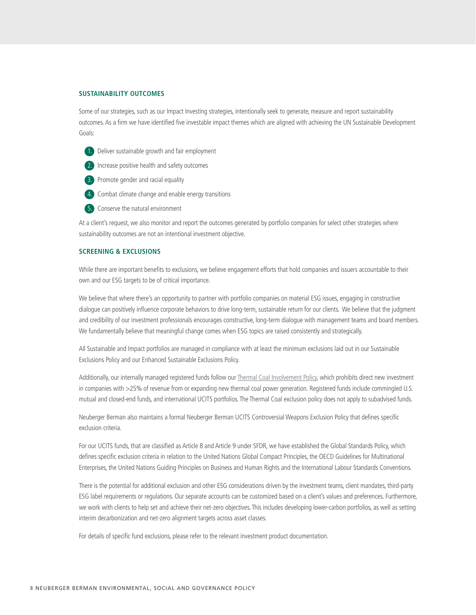#### **SUSTAINABILITY OUTCOMES**

Some of our strategies, such as our Impact Investing strategies, intentionally seek to generate, measure and report sustainability outcomes. As a firm we have identified five investable impact themes which are aligned with achieving the UN Sustainable Development Goals:

- 1. Deliver sustainable growth and fair employment
- 2. Increase positive health and safety outcomes
- 3. Promote gender and racial equality
- 4. Combat climate change and enable energy transitions
- 5. Conserve the natural environment

At a client's request, we also monitor and report the outcomes generated by portfolio companies for select other strategies where sustainability outcomes are not an intentional investment objective.

#### **SCREENING & EXCLUSIONS**

While there are important benefits to exclusions, we believe engagement efforts that hold companies and issuers accountable to their own and our ESG targets to be of critical importance.

We believe that where there's an opportunity to partner with portfolio companies on material ESG issues, engaging in constructive dialogue can positively influence corporate behaviors to drive long-term, sustainable return for our clients. We believe that the judgment and credibility of our investment professionals encourages constructive, long-term dialogue with management teams and board members. We fundamentally believe that meaningful change comes when ESG topics are raised consistently and strategically.

All Sustainable and Impact portfolios are managed in compliance with at least the minimum exclusions laid out in our Sustainable Exclusions Policy and our Enhanced Sustainable Exclusions Policy.

Additionally, our internally managed registered funds follow our [Thermal Coal Involvement Policy,](https://www.nb.com/handlers/documents.ashx?id=0c0d4a1f-a996-40cc-a62a-e676a11ba9d8&name=NB_Thermal-Coal-Involvement-Policy_1020.pdf" Thermal Coal Involvement Policy) which prohibits direct new investment in companies with >25% of revenue from or expanding new thermal coal power generation. Registered funds include commingled U.S. mutual and closed-end funds, and international UCITS portfolios. The Thermal Coal exclusion policy does not apply to subadvised funds.

Neuberger Berman also maintains a formal Neuberger Berman UCITS Controversial Weapons Exclusion Policy that defines specific exclusion criteria.

For our UCITS funds, that are classified as Article 8 and Article 9 under SFDR, we have established the Global Standards Policy, which defines specific exclusion criteria in relation to the United Nations Global Compact Principles, the OECD Guidelines for Multinational Enterprises, the United Nations Guiding Principles on Business and Human Rights and the International Labour Standards Conventions.

There is the potential for additional exclusion and other ESG considerations driven by the investment teams, client mandates, third-party ESG label requirements or regulations. Our separate accounts can be customized based on a client's values and preferences. Furthermore, we work with clients to help set and achieve their net-zero objectives. This includes developing lower-carbon portfolios, as well as setting interim decarbonization and net-zero alignment targets across asset classes.

For details of specific fund exclusions, please refer to the relevant investment product documentation.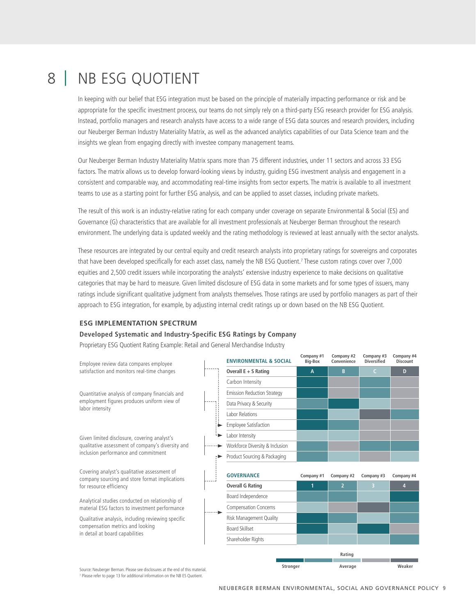#### NB ESG QUOTIENT 8 |

In keeping with our belief that ESG integration must be based on the principle of materially impacting performance or risk and be appropriate for the specific investment process, our teams do not simply rely on a third-party ESG research provider for ESG analysis. Instead, portfolio managers and research analysts have access to a wide range of ESG data sources and research providers, including our Neuberger Berman Industry Materiality Matrix, as well as the advanced analytics capabilities of our Data Science team and the insights we glean from engaging directly with investee company management teams.

Our Neuberger Berman Industry Materiality Matrix spans more than 75 different industries, under 11 sectors and across 33 ESG factors. The matrix allows us to develop forward-looking views by industry, guiding ESG investment analysis and engagement in a consistent and comparable way, and accommodating real-time insights from sector experts. The matrix is available to all investment teams to use as a starting point for further ESG analysis, and can be applied to asset classes, including private markets.

The result of this work is an industry-relative rating for each company under coverage on separate Environmental & Social (ES) and Governance (G) characteristics that are available for all investment professionals at Neuberger Berman throughout the research environment. The underlying data is updated weekly and the rating methodology is reviewed at least annually with the sector analysts.

These resources are integrated by our central equity and credit research analysts into proprietary ratings for sovereigns and corporates that have been developed specifically for each asset class, namely the NB ESG Quotient.7 These custom ratings cover over 7,000 equities and 2,500 credit issuers while incorporating the analysts' extensive industry experience to make decisions on qualitative categories that may be hard to measure. Given limited disclosure of ESG data in some markets and for some types of issuers, many ratings include significant qualitative judgment from analysts themselves. Those ratings are used by portfolio managers as part of their approach to ESG integration, for example, by adjusting internal credit ratings up or down based on the NB ESG Quotient.

#### **ESG IMPLEMENTATION SPECTRUM**

#### **Developed Systematic and Industry-Specific ESG Ratings by Company**

Proprietary ESG Quotient Rating Example: Retail and General Merchandise Industry

| Employee review data compares employee                                                                                                    |  | <b>ENVIRONMENTAL &amp; SOCIAL</b>  | Company #1<br>Big-Box | Company #2<br>Convenience | Company #3<br><b>Diversified</b> | Company #4<br><b>Discount</b> |
|-------------------------------------------------------------------------------------------------------------------------------------------|--|------------------------------------|-----------------------|---------------------------|----------------------------------|-------------------------------|
| satisfaction and monitors real-time changes                                                                                               |  | Overall $E + S$ Rating             | A                     | B                         | $\mathsf{C}$                     | D                             |
|                                                                                                                                           |  | Carbon Intensity                   |                       |                           |                                  |                               |
| Quantitative analysis of company financials and<br>employment figures produces uniform view of<br>labor intensity                         |  | <b>Emission Reduction Strategy</b> |                       |                           |                                  |                               |
|                                                                                                                                           |  | Data Privacy & Security            |                       |                           |                                  |                               |
|                                                                                                                                           |  | Labor Relations                    |                       |                           |                                  |                               |
|                                                                                                                                           |  | <b>Employee Satisfaction</b>       |                       |                           |                                  |                               |
| Given limited disclosure, covering analyst's<br>qualitative assessment of company's diversity and<br>inclusion performance and commitment |  | Labor Intensity                    |                       |                           |                                  |                               |
|                                                                                                                                           |  | Workforce Diversity & Inclusion    |                       |                           |                                  |                               |
|                                                                                                                                           |  | Product Sourcing & Packaging       |                       |                           |                                  |                               |
| Covering analyst's qualitative assessment of<br>company sourcing and store format implications<br>for resource efficiency                 |  | <b>GOVERNANCE</b>                  | Company #1            | Company #2                | Company #3                       | Company #4                    |
|                                                                                                                                           |  | <b>Overall G Rating</b>            | 1                     | $\overline{2}$            | 3                                | 4                             |
| Analytical studies conducted on relationship of<br>material ESG factors to investment performance                                         |  | Board Independence                 |                       |                           |                                  |                               |
|                                                                                                                                           |  | <b>Compensation Concerns</b>       |                       |                           |                                  |                               |
| Qualitative analysis, including reviewing specific<br>compensation metrics and looking<br>in detail at board capabilities                 |  | Risk Management Quality            |                       |                           |                                  |                               |
|                                                                                                                                           |  | <b>Board Skillset</b>              |                       |                           |                                  |                               |
|                                                                                                                                           |  | Shareholder Rights                 |                       |                           |                                  |                               |
|                                                                                                                                           |  |                                    |                       | Rating                    |                                  |                               |
|                                                                                                                                           |  | Stronger                           |                       | Average                   |                                  | Weaker                        |

Source: Neuberger Berman. Please see disclosures at the end of this material. <sup>7</sup> Please refer to page 13 for additional information on the NB ES Quotient.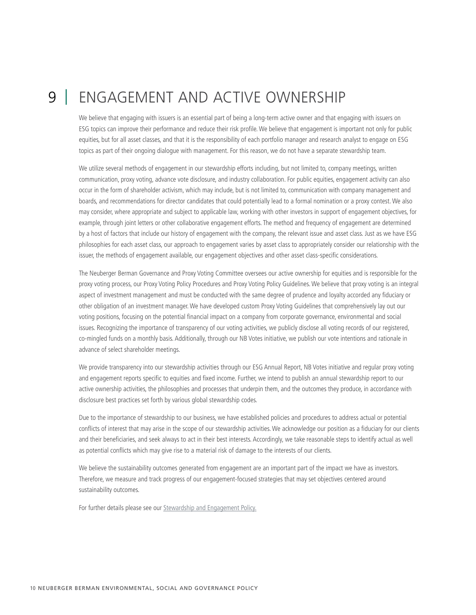#### ENGAGEMENT AND ACTIVE OWNERSHIP 9 |

We believe that engaging with issuers is an essential part of being a long-term active owner and that engaging with issuers on ESG topics can improve their performance and reduce their risk profile. We believe that engagement is important not only for public equities, but for all asset classes, and that it is the responsibility of each portfolio manager and research analyst to engage on ESG topics as part of their ongoing dialogue with management. For this reason, we do not have a separate stewardship team.

We utilize several methods of engagement in our stewardship efforts including, but not limited to, company meetings, written communication, proxy voting, advance vote disclosure, and industry collaboration. For public equities, engagement activity can also occur in the form of shareholder activism, which may include, but is not limited to, communication with company management and boards, and recommendations for director candidates that could potentially lead to a formal nomination or a proxy contest. We also may consider, where appropriate and subject to applicable law, working with other investors in support of engagement objectives, for example, through joint letters or other collaborative engagement efforts. The method and frequency of engagement are determined by a host of factors that include our history of engagement with the company, the relevant issue and asset class. Just as we have ESG philosophies for each asset class, our approach to engagement varies by asset class to appropriately consider our relationship with the issuer, the methods of engagement available, our engagement objectives and other asset class-specific considerations.

The Neuberger Berman Governance and Proxy Voting Committee oversees our active ownership for equities and is responsible for the proxy voting process, our Proxy Voting Policy Procedures and Proxy Voting Policy Guidelines. We believe that proxy voting is an integral aspect of investment management and must be conducted with the same degree of prudence and loyalty accorded any fiduciary or other obligation of an investment manager. We have developed custom Proxy Voting Guidelines that comprehensively lay out our voting positions, focusing on the potential financial impact on a company from corporate governance, environmental and social issues. Recognizing the importance of transparency of our voting activities, we publicly disclose all voting records of our registered, co-mingled funds on a monthly basis. Additionally, through our NB Votes initiative, we publish our vote intentions and rationale in advance of select shareholder meetings.

We provide transparency into our stewardship activities through our ESG Annual Report, NB Votes initiative and regular proxy voting and engagement reports specific to equities and fixed income. Further, we intend to publish an annual stewardship report to our active ownership activities, the philosophies and processes that underpin them, and the outcomes they produce, in accordance with disclosure best practices set forth by various global stewardship codes.

Due to the importance of stewardship to our business, we have established policies and procedures to address actual or potential conflicts of interest that may arise in the scope of our stewardship activities. We acknowledge our position as a fiduciary for our clients and their beneficiaries, and seek always to act in their best interests. Accordingly, we take reasonable steps to identify actual as well as potential conflicts which may give rise to a material risk of damage to the interests of our clients.

We believe the sustainability outcomes generated from engagement are an important part of the impact we have as investors. Therefore, we measure and track progress of our engagement-focused strategies that may set objectives centered around sustainability outcomes.

For further details please see our **Stewardship and Engagement Policy**.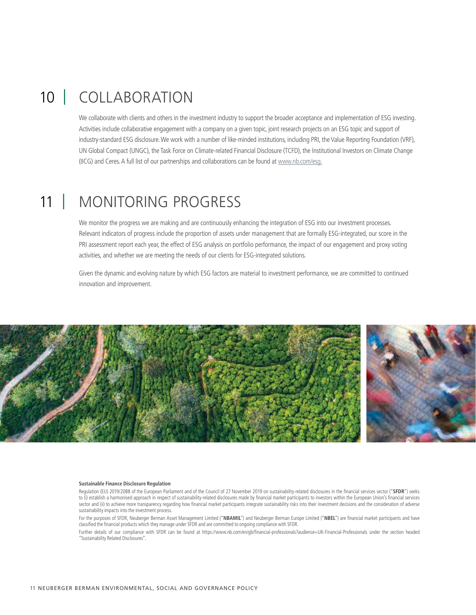### 10 | COLLABORATION

We collaborate with clients and others in the investment industry to support the broader acceptance and implementation of ESG investing. Activities include collaborative engagement with a company on a given topic, joint research projects on an ESG topic and support of industry-standard ESG disclosure. We work with a number of like-minded institutions, including PRI, the Value Reporting Foundation (VRF), UN Global Compact (UNGC), the Task Force on Climate-related Financial Disclosure (TCFD), the Institutional Investors on Climate Change (IICG) and Ceres. A full list of our partnerships and collaborations can be found at [www.nb.com/esg.](http://www.nb.com/esg)

#### MONITORING PROGRESS 11 |

We monitor the progress we are making and are continuously enhancing the integration of ESG into our investment processes. Relevant indicators of progress include the proportion of assets under management that are formally ESG-integrated, our score in the PRI assessment report each year, the effect of ESG analysis on portfolio performance, the impact of our engagement and proxy voting activities, and whether we are meeting the needs of our clients for ESG-integrated solutions.

Given the dynamic and evolving nature by which ESG factors are material to investment performance, we are committed to continued innovation and improvement.



#### **Sustainable Finance Disclosure Regulation**

Regulation (EU) 2019/2088 of the European Parliament and of the Council of 27 November 2019 on sustainability-related disclosures in the financial services sector ("**SFDR**") seeks to (i) establish a harmonised approach in respect of sustainability-related disclosures made by financial market participants to investors within the European Union's financial services sector and (ii) to achieve more transparency regarding how financial market participants integrate sustainability risks into their investment decisions and the consideration of adverse sustainability impacts into the investment process.

For the purposes of SFDR, Neuberger Berman Asset Management Limited ("**NBAMIL**") and Neuberger Berman Europe Limited ("**NBEL**") are financial market participants and have classified the financial products which they manage under SFDR and are committed to ongoing compliance with SFDR.

Further details of our compliance with SFDR can be found at https://www.nb.com/en/gb/financial-professionals?audience=UK-Financial-Professionals under the section headed "Sustainability Related Disclosures".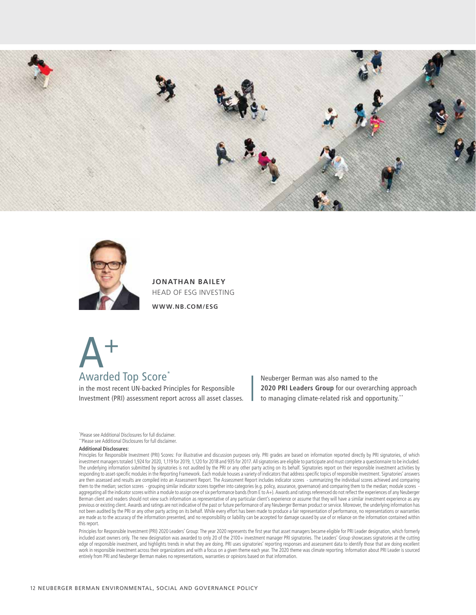



**JONATHAN BAILEY** HEAD OF ESG INVESTING

**[WWW.NB.COM/ESG](http://www.nb.com/esg)**



in the most recent UN-backed Principles for Responsible Investment (PRI) assessment report across all asset classes.

Neuberger Berman was also named to the **2020 PRI Leaders Group** for our overarching approach to managing climate-related risk and opportunity.\*\*

\* Please see Additional Disclosures for full disclaimer. \*\*Please see Additional Disclosures for full disclaimer.

#### **Additional Disclosures:**

Principles for Responsible Investment (PRI) Scores: For illustrative and discussion purposes only. PRI grades are based on information reported directly by PRI signatories, of which investment managers totaled 1,924 for 2020, 1,119 for 2019, 1,120 for 2018 and 935 for 2017. All signatories are eligible to participate and must complete a questionnaire to be included. The underlying information submitted by signatories is not audited by the PRI or any other party acting on its behalf. Signatories report on their responsible investment activities by responding to asset-specific modules in the Reporting Framework. Each module houses a variety of indicators that address specific topics of responsible investment. Signatories' answers are then assessed and results are compiled into an Assessment Report. The Assessment Report includes indicator scores - summarizing the individual scores achieved and comparing them to the median; section scores - grouping similar indicator scores together into categories (e.g. policy, assurance, governance) and comparing them to the median; module scores aggregating all the indicator scores within a module to assign one of six performance bands (from E to A+). Awards and ratings referenced do not reflect the experiences of any Neuberger Berman client and readers should not view such information as representative of any particular client's experience or assume that they will have a similar investment experience as any previous or existing client. Awards and ratings are not indicative of the past or future performance of any Neuberger Berman product or service. Moreover, the underlying information has not been audited by the PRI or any other party acting on its behalf. While every effort has been made to produce a fair representation of performance, no representations or warranties are made as to the accuracy of the information presented, and no responsibility or liability can be accepted for damage caused by use of or reliance on the information contained within this report.

Principles for Responsible Investment (PRI) 2020 Leaders' Group: The year 2020 represents the first year that asset managers became eligible for PRI Leader designation, which formerly included asset owners only. The new designation was awarded to only 20 of the 2100+ investment manager PRI signatories. The Leaders' Group showcases signatories at the cutting edge of responsible investment, and highlights trends in what they are doing. PRI uses signatories' reporting responses and assessment data to identify those that are doing excellent work in responsible investment across their organizations and with a focus on a given theme each year. The 2020 theme was climate reporting. Information about PRI Leader is sourced entirely from PRI and Neuberger Berman makes no representations, warranties or opinions based on that information.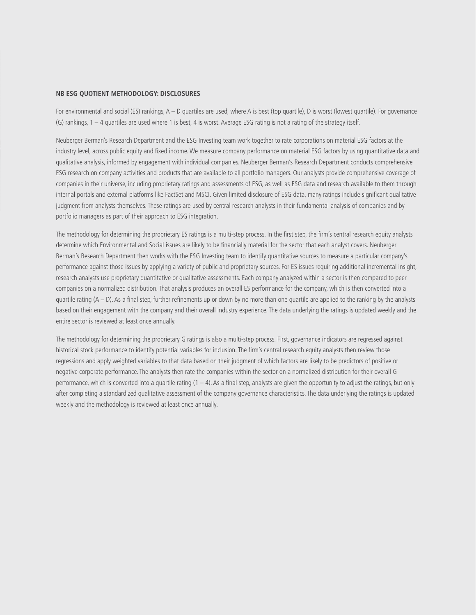#### **NB ESG QUOTIENT METHODOLOGY: DISCLOSURES**

For environmental and social (ES) rankings, A - D quartiles are used, where A is best (top quartile), D is worst (lowest quartile). For governance (G) rankings,  $1 - 4$  quartiles are used where 1 is best, 4 is worst. Average ESG rating is not a rating of the strategy itself.

Neuberger Berman's Research Department and the ESG Investing team work together to rate corporations on material ESG factors at the industry level, across public equity and fixed income. We measure company performance on material ESG factors by using quantitative data and qualitative analysis, informed by engagement with individual companies. Neuberger Berman's Research Department conducts comprehensive ESG research on company activities and products that are available to all portfolio managers. Our analysts provide comprehensive coverage of companies in their universe, including proprietary ratings and assessments of ESG, as well as ESG data and research available to them through internal portals and external platforms like FactSet and MSCI. Given limited disclosure of ESG data, many ratings include significant qualitative judgment from analysts themselves. These ratings are used by central research analysts in their fundamental analysis of companies and by portfolio managers as part of their approach to ESG integration.

The methodology for determining the proprietary ES ratings is a multi-step process. In the first step, the firm's central research equity analysts determine which Environmental and Social issues are likely to be financially material for the sector that each analyst covers. Neuberger Berman's Research Department then works with the ESG Investing team to identify quantitative sources to measure a particular company's performance against those issues by applying a variety of public and proprietary sources. For ES issues requiring additional incremental insight, research analysts use proprietary quantitative or qualitative assessments. Each company analyzed within a sector is then compared to peer companies on a normalized distribution. That analysis produces an overall ES performance for the company, which is then converted into a quartile rating (A – D). As a final step, further refinements up or down by no more than one quartile are applied to the ranking by the analysts based on their engagement with the company and their overall industry experience. The data underlying the ratings is updated weekly and the entire sector is reviewed at least once annually.

The methodology for determining the proprietary G ratings is also a multi-step process. First, governance indicators are regressed against historical stock performance to identify potential variables for inclusion. The firm's central research equity analysts then review those regressions and apply weighted variables to that data based on their judgment of which factors are likely to be predictors of positive or negative corporate performance. The analysts then rate the companies within the sector on a normalized distribution for their overall G performance, which is converted into a quartile rating  $(1 - 4)$ . As a final step, analysts are given the opportunity to adjust the ratings, but only after completing a standardized qualitative assessment of the company governance characteristics. The data underlying the ratings is updated weekly and the methodology is reviewed at least once annually.